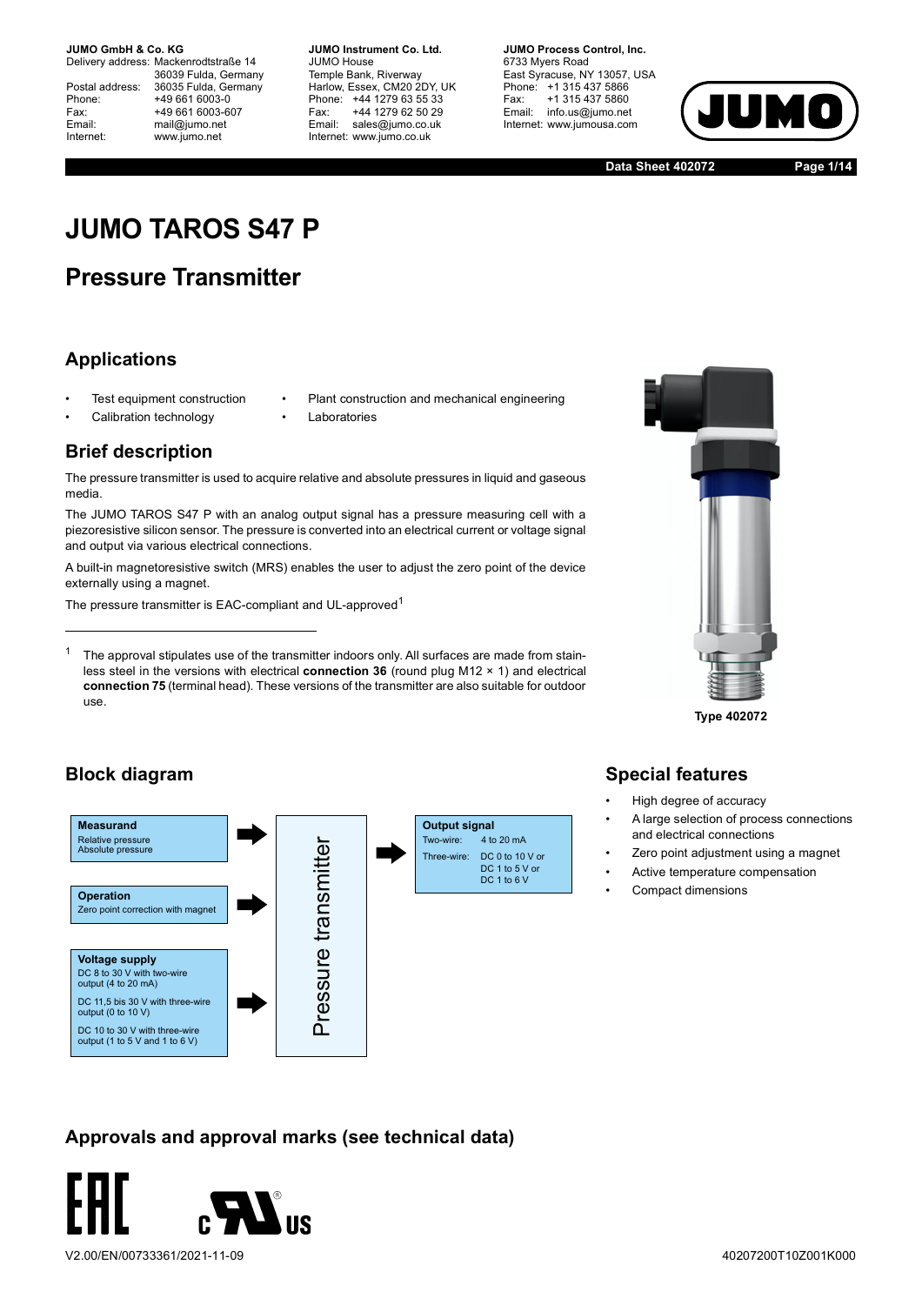Delivery address: Mackenrodtstraße 14 36039 Fulda, Germany Postal address: 36035 Fulda, Germany<br>Phone: +49 661 6003-0 Phone: +49 661 6003-0<br>Fax: +49 661 6003-6 Fax: +49 661 6003-607<br>
Fmail: mail@iumo.net mail@jumo.net Internet: www.jumo.net

**-BUMO Instrument Co. Ltd.** JUMO House Temple Bank, Riverway Harlow, Essex, CM20 2DY, UK Phone: +44 1279 63 55 33<br>Fax: +44 1279 62 50 29 Fax: +44 1279 62 50 29<br>Email: sales@iumo.co.uk sales@jumo.co.uk Internet: www.jumo.co.uk

**-BURG Process Control Inc.** 6733 Mvers Road East Syracuse, NY 13057, USA Phone: +1 315 437 5866<br>Fax: +1 315 437 5860 Fax: +1 315 437 5860<br>Email: info.us@jumo.net info.us@jumo.net Internet: www.jumousa.com



**Data Sheet 402072 Page 1/14**

# **JUMO TAROS S47 P**

# **Pressure Transmitter**

## **Applications**

- Test equipment construction
- Plant construction and mechanical engineering
- Calibration technology
- Laboratories

### **Brief description**

The pressure transmitter is used to acquire relative and absolute pressures in liquid and gaseous media.

The JUMO TAROS S47 P with an analog output signal has a pressure measuring cell with a piezoresistive silicon sensor. The pressure is converted into an electrical current or voltage signal and output via various electrical connections.

A built-in magnetoresistive switch (MRS) enables the user to adjust the zero point of the device externally using a magnet.

The pressure transmitter is EAC-compliant and UL-approved<sup>1</sup>

 $1$  The approval stipulates use of the transmitter indoors only. All surfaces are made from stainless steel in the versions with electrical **connection 36** (round plug M12 × 1) and electrical **connection 75** (terminal head). These versions of the transmitter are also suitable for outdoor use.



**Type 402072**

## **Block diagram**



## **Special features**

- High degree of accuracy
- A large selection of process connections and electrical connections
- Zero point adjustment using a magnet
- Active temperature compensation
- Compact dimensions

### **Approvals and approval marks (see technical data)**

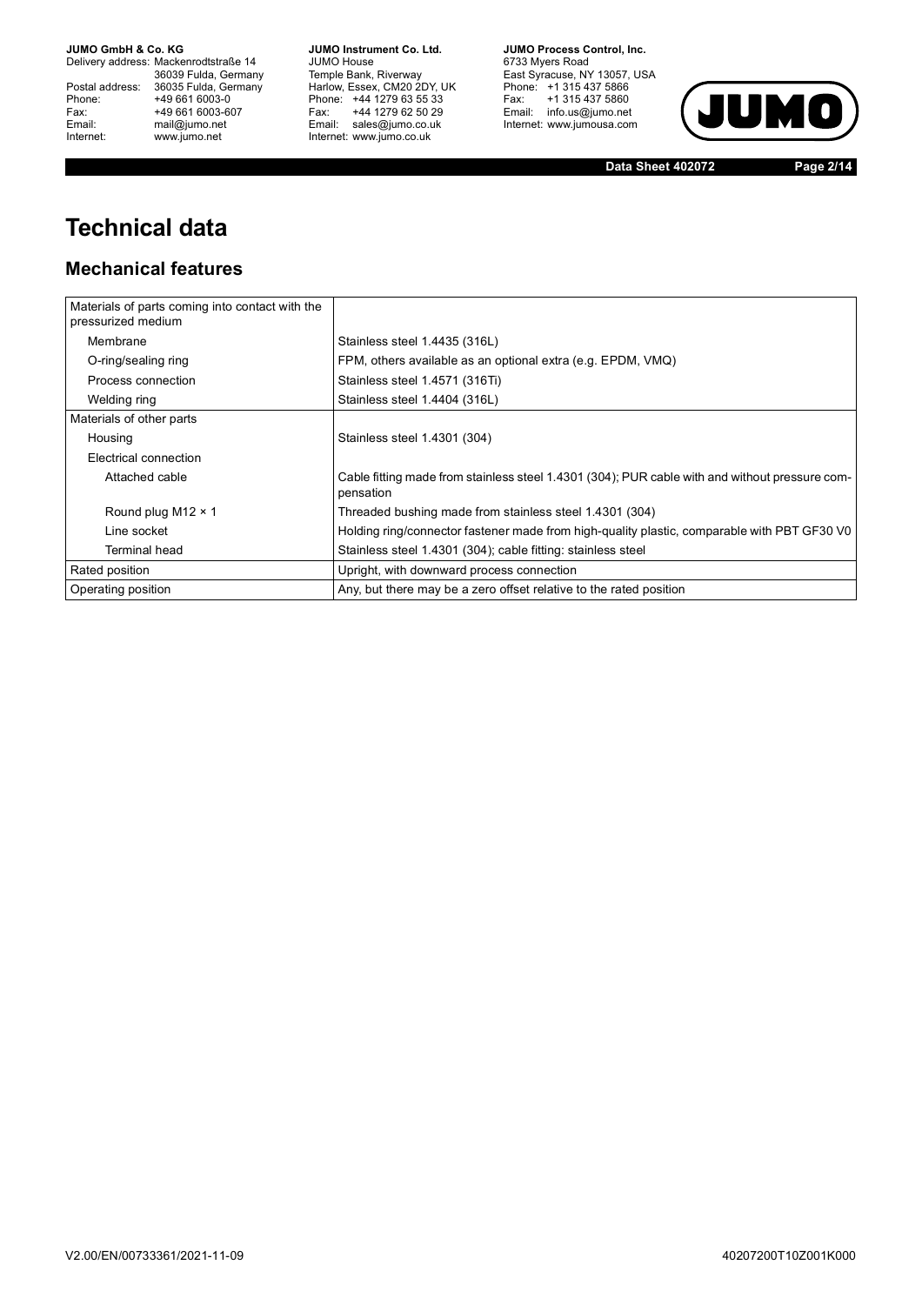Delivery address: Mackenrodtstraße 14 36039 Fulda, Germany<br>Postal address: 36035 Fulda, Germany Phone: +49 661 6003-0<br>
Fax: +49 661 6003-6<br>
Email: mail@jumo.net +49 661 6003-607 Email: mail@jumo.net<br>Internet: www.iumo.net www.jumo.net

**JUMO Instrument Co. Ltd.** JUMO House Temple Bank, Riverway<br>Harlow, Essex, CM20 2DY, UK<br>Phone: +44 1279 63 55 33 Fax: +44 1279 62 50 29<br>Email: sales@jumo.co.uk Internet: www.jumo.co.uk

**JUMO Process Control, Inc.** 6733 Myers Road East Syracuse, NY 13057, USA<br>Phone: +1 315 437 5866<br>Fax: +1 315 437 5860 Email: info.us@jumo.net Internet: www.jumousa.com



**Data Sheet 402072 Page 2/14**

# **Technical data**

### **Mechanical features**

| Materials of parts coming into contact with the<br>pressurized medium |                                                                                                             |
|-----------------------------------------------------------------------|-------------------------------------------------------------------------------------------------------------|
| Membrane                                                              | Stainless steel 1.4435 (316L)                                                                               |
| O-ring/sealing ring                                                   | FPM, others available as an optional extra (e.g. EPDM, VMQ)                                                 |
| Process connection                                                    | Stainless steel 1.4571 (316Ti)                                                                              |
| Welding ring                                                          | Stainless steel 1.4404 (316L)                                                                               |
| Materials of other parts                                              |                                                                                                             |
| Housing                                                               | Stainless steel 1.4301 (304)                                                                                |
| Electrical connection                                                 |                                                                                                             |
| Attached cable                                                        | Cable fitting made from stainless steel 1.4301 (304); PUR cable with and without pressure com-<br>pensation |
| Round plug M12 $\times$ 1                                             | Threaded bushing made from stainless steel 1.4301 (304)                                                     |
| Line socket                                                           | Holding ring/connector fastener made from high-quality plastic, comparable with PBT GF30 V0                 |
| Terminal head                                                         | Stainless steel 1.4301 (304); cable fitting: stainless steel                                                |
| Rated position                                                        | Upright, with downward process connection                                                                   |
| Operating position                                                    | Any, but there may be a zero offset relative to the rated position                                          |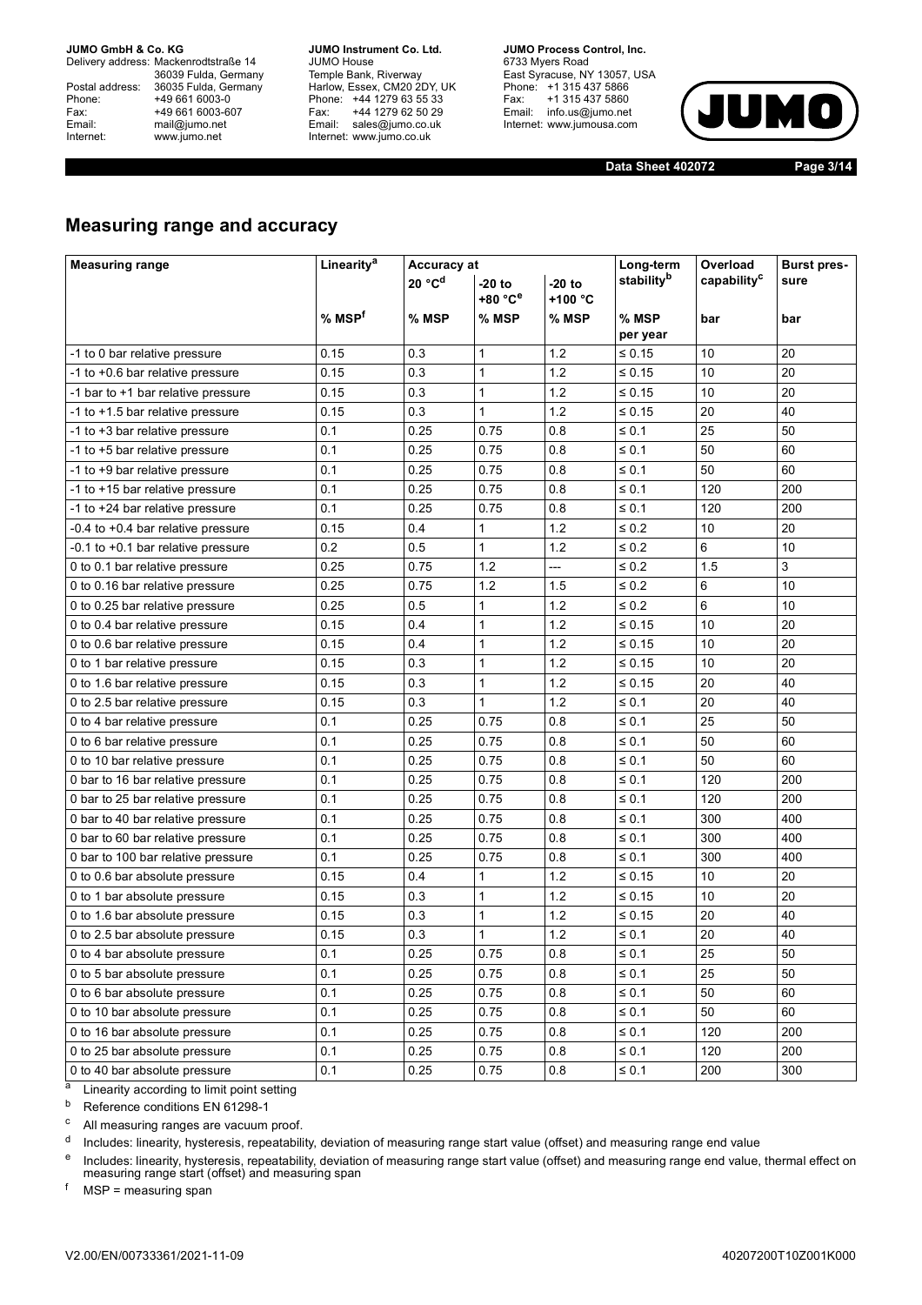Delivery address: Mackenrodtstraße 14 36039 Fulda, Germany Postal address: 36035 Fulda, Germany<br>Phone: +49 661 6003-0 Phone: +49 661 6003-0<br>
Fax: +49 661 6003-6<br>
Email: mail@jumo.net +49 661 6003-607 mail@jumo.net Internet: www.jumo.net

**JUMO Instrument Co. Ltd.** JUMO House Temple Bank, Riverway<br>Harlow, Essex, CM20 2DY, UK Phone: +44 1279 63 55 33<br>Fax: +44 1279 62 50 29 +44 1279 62 50 29 Email: sales@jumo.co.uk Internet: www.jumo.co.uk

**JUMO Process Control, Inc.** 6733 Myers Road East Syracuse, NY 13057, USA Phone: +1 315 437 5866<br>Fax: +1 315 437 5860 rax. Tribitary 5000 Internet: www.jumousa.com



**Data Sheet 402072 Page 3/14**

### **Measuring range and accuracy**

| <b>Measuring range</b>             | Linearity <sup>a</sup>                   | Accuracy at |              |            | Long-term               | Overload | <b>Burst pres-</b> |  |
|------------------------------------|------------------------------------------|-------------|--------------|------------|-------------------------|----------|--------------------|--|
|                                    | 20 °C <sup>d</sup><br>$-20$ to<br>-20 to |             |              | stabilityb | capability <sup>c</sup> | sure     |                    |  |
|                                    |                                          |             | +80 °C°      | +100 °C    |                         |          |                    |  |
|                                    | % MSP <sup>f</sup>                       | % MSP       | % MSP        | % MSP      | % MSP                   | bar      | bar                |  |
|                                    |                                          |             |              |            | per year                |          |                    |  |
| -1 to 0 bar relative pressure      | 0.15                                     | 0.3         | $\mathbf{1}$ | 1.2        | ≤ 0.15                  | 10       | 20                 |  |
| -1 to +0.6 bar relative pressure   | 0.15                                     | 0.3         | $\mathbf{1}$ | 1.2        | ≤ 0.15                  | 10       | 20                 |  |
| -1 bar to +1 bar relative pressure | 0.15                                     | 0.3         | $\mathbf{1}$ | 1.2        | $\leq 0.15$             | 10       | 20                 |  |
| -1 to +1.5 bar relative pressure   | 0.15                                     | 0.3         | $\mathbf{1}$ | 1.2        | $\leq 0.15$             | 20       | 40                 |  |
| -1 to +3 bar relative pressure     | 0.1                                      | 0.25        | 0.75         | 0.8        | $\leq 0.1$              | 25       | 50                 |  |
| -1 to +5 bar relative pressure     | 0.1                                      | 0.25        | 0.75         | 0.8        | $\leq 0.1$              | 50       | 60                 |  |
| -1 to +9 bar relative pressure     | 0.1                                      | 0.25        | 0.75         | 0.8        | $\leq 0.1$              | 50       | 60                 |  |
| -1 to +15 bar relative pressure    | 0.1                                      | 0.25        | 0.75         | 0.8        | $\leq 0.1$              | 120      | 200                |  |
| -1 to +24 bar relative pressure    | 0.1                                      | 0.25        | 0.75         | 0.8        | $\leq 0.1$              | 120      | 200                |  |
| -0.4 to +0.4 bar relative pressure | 0.15                                     | 0.4         | $\mathbf{1}$ | 1.2        | $\leq 0.2$              | 10       | 20                 |  |
| -0.1 to +0.1 bar relative pressure | 0.2                                      | 0.5         | $\mathbf{1}$ | 1.2        | $\leq 0.2$              | 6        | 10                 |  |
| 0 to 0.1 bar relative pressure     | 0.25                                     | 0.75        | 1.2          | ---        | $\leq 0.2$              | 1.5      | 3                  |  |
| 0 to 0.16 bar relative pressure    | 0.25                                     | 0.75        | 1.2          | 1.5        | $\leq 0.2$              | 6        | 10                 |  |
| 0 to 0.25 bar relative pressure    | 0.25                                     | 0.5         | $\mathbf{1}$ | 1.2        | $\leq 0.2$              | 6        | 10                 |  |
| 0 to 0.4 bar relative pressure     | 0.15                                     | 0.4         | 1            | 1.2        | $\leq 0.15$             | 10       | 20                 |  |
| 0 to 0.6 bar relative pressure     | 0.15                                     | 0.4         | $\mathbf{1}$ | 1.2        | ≤ 0.15                  | 10       | 20                 |  |
| 0 to 1 bar relative pressure       | 0.15                                     | 0.3         | $\mathbf{1}$ | 1.2        | ≤ 0.15                  | 10       | 20                 |  |
| 0 to 1.6 bar relative pressure     | 0.15                                     | 0.3         | $\mathbf{1}$ | 1.2        | $\leq 0.15$             | 20       | 40                 |  |
| 0 to 2.5 bar relative pressure     | 0.15                                     | 0.3         | $\mathbf{1}$ | 1.2        | $\leq 0.1$              | 20       | 40                 |  |
| 0 to 4 bar relative pressure       | 0.1                                      | 0.25        | 0.75         | 0.8        | $\leq 0.1$              | 25       | 50                 |  |
| 0 to 6 bar relative pressure       | 0.1                                      | 0.25        | 0.75         | 0.8        | $\leq 0.1$              | 50       | 60                 |  |
| 0 to 10 bar relative pressure      | 0.1                                      | 0.25        | 0.75         | 0.8        | $\leq 0.1$              | 50       | 60                 |  |
| 0 bar to 16 bar relative pressure  | 0.1                                      | 0.25        | 0.75         | 0.8        | $\leq 0.1$              | 120      | 200                |  |
| 0 bar to 25 bar relative pressure  | 0.1                                      | 0.25        | 0.75         | 0.8        | $\leq 0.1$              | 120      | 200                |  |
| 0 bar to 40 bar relative pressure  | 0.1                                      | 0.25        | 0.75         | 0.8        | $\leq 0.1$              | 300      | 400                |  |
| 0 bar to 60 bar relative pressure  | 0.1                                      | 0.25        | 0.75         | 0.8        | $\leq 0.1$              | 300      | 400                |  |
| 0 bar to 100 bar relative pressure | 0.1                                      | 0.25        | 0.75         | 0.8        | $\leq 0.1$              | 300      | 400                |  |
| 0 to 0.6 bar absolute pressure     | 0.15                                     | 0.4         | 1            | 1.2        | $\leq 0.15$             | 10       | 20                 |  |
| 0 to 1 bar absolute pressure       | 0.15                                     | 0.3         | $\mathbf{1}$ | 1.2        | ≤ 0.15                  | 10       | 20                 |  |
| 0 to 1.6 bar absolute pressure     | 0.15                                     | 0.3         | $\mathbf{1}$ | 1.2        | ≤ 0.15                  | 20       | 40                 |  |
| 0 to 2.5 bar absolute pressure     | 0.15                                     | 0.3         | $\mathbf{1}$ | 1.2        | $\leq 0.1$              | 20       | 40                 |  |
| 0 to 4 bar absolute pressure       | 0.1                                      | 0.25        | 0.75         | 0.8        | $\leq 0.1$              | 25       | 50                 |  |
| 0 to 5 bar absolute pressure       | 0.1                                      | 0.25        | 0.75         | 0.8        | $\leq 0.1$              | 25       | 50                 |  |
| 0 to 6 bar absolute pressure       | 0.1                                      | 0.25        | 0.75         | 0.8        | $\leq 0.1$              | 50       | 60                 |  |
| 0 to 10 bar absolute pressure      | 0.1                                      | 0.25        | 0.75         | 0.8        | $\leq 0.1$              | 50       | 60                 |  |
| 0 to 16 bar absolute pressure      | 0.1                                      | 0.25        | 0.75         | 0.8        | $\leq 0.1$              | 120      | 200                |  |
| 0 to 25 bar absolute pressure      | 0.1                                      | 0.25        | 0.75         | 0.8        | $\leq 0.1$              | 120      | 200                |  |
| 0 to 40 bar absolute pressure      | 0.1                                      | 0.25        | 0.75         | 0.8        | $\leq 0.1$              | 200      | 300                |  |
|                                    |                                          |             |              |            |                         |          |                    |  |

a Linearity according to limit point setting

<sup>b</sup> Reference conditions EN 61298-1

<sup>c</sup> All measuring ranges are vacuum proof.

d Includes: linearity, hysteresis, repeatability, deviation of measuring range start value (offset) and measuring range end value

<sup>e</sup> Includes: linearity, hysteresis, repeatability, deviation of measuring range start value (offset) and measuring range end value, thermal effect on<br>measuring range start (offset) and measuring span

 $f$  MSP = measuring span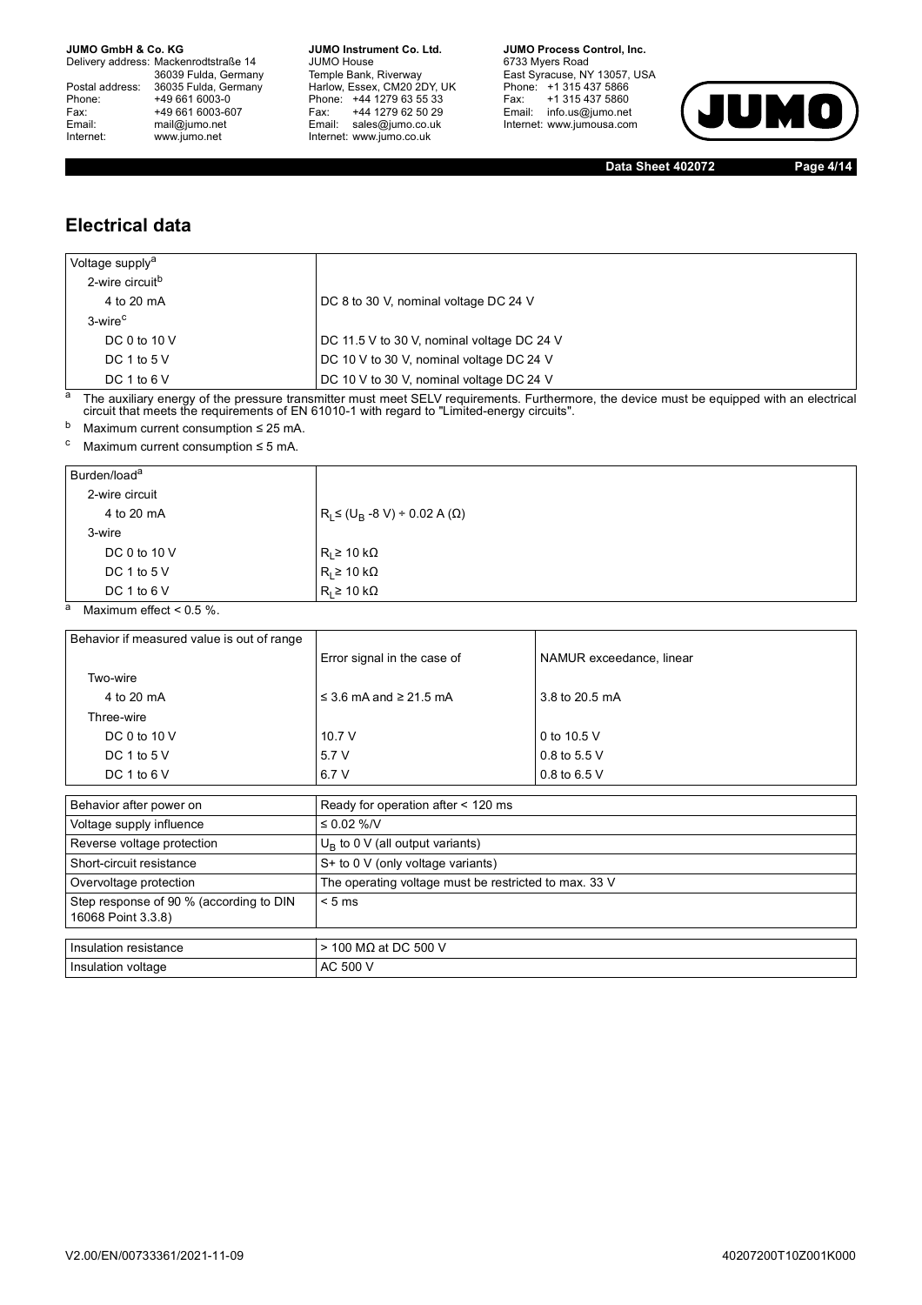Delivery address: Mackenrodtstraße 14 36039 Fulda, Germany<br>Postal address: 36035 Fulda, Germany Phone: +49 661 6003-0<br>
Fax: +49 661 6003-6<br>
Email: mail@jumo.net +49 661 6003-607 Email: mail@jumo.net<br>Internet: www.iumo.net www.jumo.net

**JUMO Instrument Co. Ltd.** JUMO House Temple Bank, Riverway<br>Harlow, Essex, CM20 2DY, UK Phone: +44 1279 63 55 33<br>Fax: +44 1279 62 50 29 +44 1279 62 50 29 Email: sales@jumo.co.uk Internet: www.jumo.co.uk

**JUMO Process Control, Inc.** 6733 Myers Road East Syracuse, NY 13057, USA Phone: +1 315 437 5866<br>Fax: +1 315 437 5860 rax. Tribitary 5000 Internet: www.jumousa.com



**Data Sheet 402072 Page 4/14**

### **Electrical data**

| Voltage supply <sup>a</sup> |                                            |
|-----------------------------|--------------------------------------------|
| 2-wire circuit <sup>b</sup> |                                            |
| 4 to 20 mA                  | DC 8 to 30 V, nominal voltage DC 24 V      |
| 3-wire <sup>c</sup>         |                                            |
| DC 0 to 10 $V$              | DC 11.5 V to 30 V, nominal voltage DC 24 V |
| DC 1 to 5 $V$               | DC 10 V to 30 V, nominal voltage DC 24 V   |
| DC 1 to 6 $V$               | DC 10 V to 30 V, nominal voltage DC 24 V   |

<sup>a</sup> The auxiliary energy of the pressure transmitter must meet SELV requirements. Furthermore, the device must be equipped with an electrical circuit that meets the requirements of EN 61010-1 with regard to "Limited-energy circuits".

b Maximum current consumption  $\leq 25$  mA.

 $\text{c}$  Maximum current consumption  $\leq$  5 mA.

| Burden/load <sup>a</sup> |                                              |
|--------------------------|----------------------------------------------|
| 2-wire circuit           |                                              |
| 4 to 20 mA               | $R_{L}$ ≤ (U <sub>B</sub> -8 V) ÷ 0.02 A (Ω) |
| 3-wire                   |                                              |
| DC 0 to 10 V             | $R_1 \geq 10 \text{ k}\Omega$                |
| DC 1 to 5 $V$            | R <sub>L</sub> ≥ 10 kΩ                       |
| DC 1 to 6 $V$            | $R_1 \geq 10 \text{ k}\Omega$                |

 $\overline{a}$  Maximum effect < 0.5 %.

| Behavior if measured value is out of range |                                                       |                          |  |  |  |  |
|--------------------------------------------|-------------------------------------------------------|--------------------------|--|--|--|--|
|                                            | Error signal in the case of                           | NAMUR exceedance, linear |  |  |  |  |
| Two-wire                                   |                                                       |                          |  |  |  |  |
| 4 to 20 mA                                 | $\leq$ 3.6 mA and $\geq$ 21.5 mA                      | 3.8 to 20.5 mA           |  |  |  |  |
| Three-wire                                 |                                                       |                          |  |  |  |  |
| DC 0 to $10V$                              | 10.7 V                                                | 0 to 10.5 V              |  |  |  |  |
| DC 1 to $5V$                               | 5.7 V                                                 | 0.8 to 5.5 V             |  |  |  |  |
| DC 1 to 6 $V$                              | 6.7 V                                                 | 0.8 to 6.5 $V$           |  |  |  |  |
|                                            |                                                       |                          |  |  |  |  |
| Behavior after power on                    | Ready for operation after < 120 ms                    |                          |  |  |  |  |
| Voltage supply influence                   | ≤ 0.02 %/V                                            |                          |  |  |  |  |
| Reverse voltage protection                 | $U_R$ to 0 V (all output variants)                    |                          |  |  |  |  |
| Short-circuit resistance                   | S+ to 0 V (only voltage variants)                     |                          |  |  |  |  |
| Overvoltage protection                     | The operating voltage must be restricted to max. 33 V |                          |  |  |  |  |
| Step response of 90 % (according to DIN    | < 5 ms                                                |                          |  |  |  |  |

| 16068 Point 3.3.8)      |                        |
|-------------------------|------------------------|
| I Insulation resistance | l > 100 MΩ at DC 500 V |
| Insulation voltage      | AC 500 V               |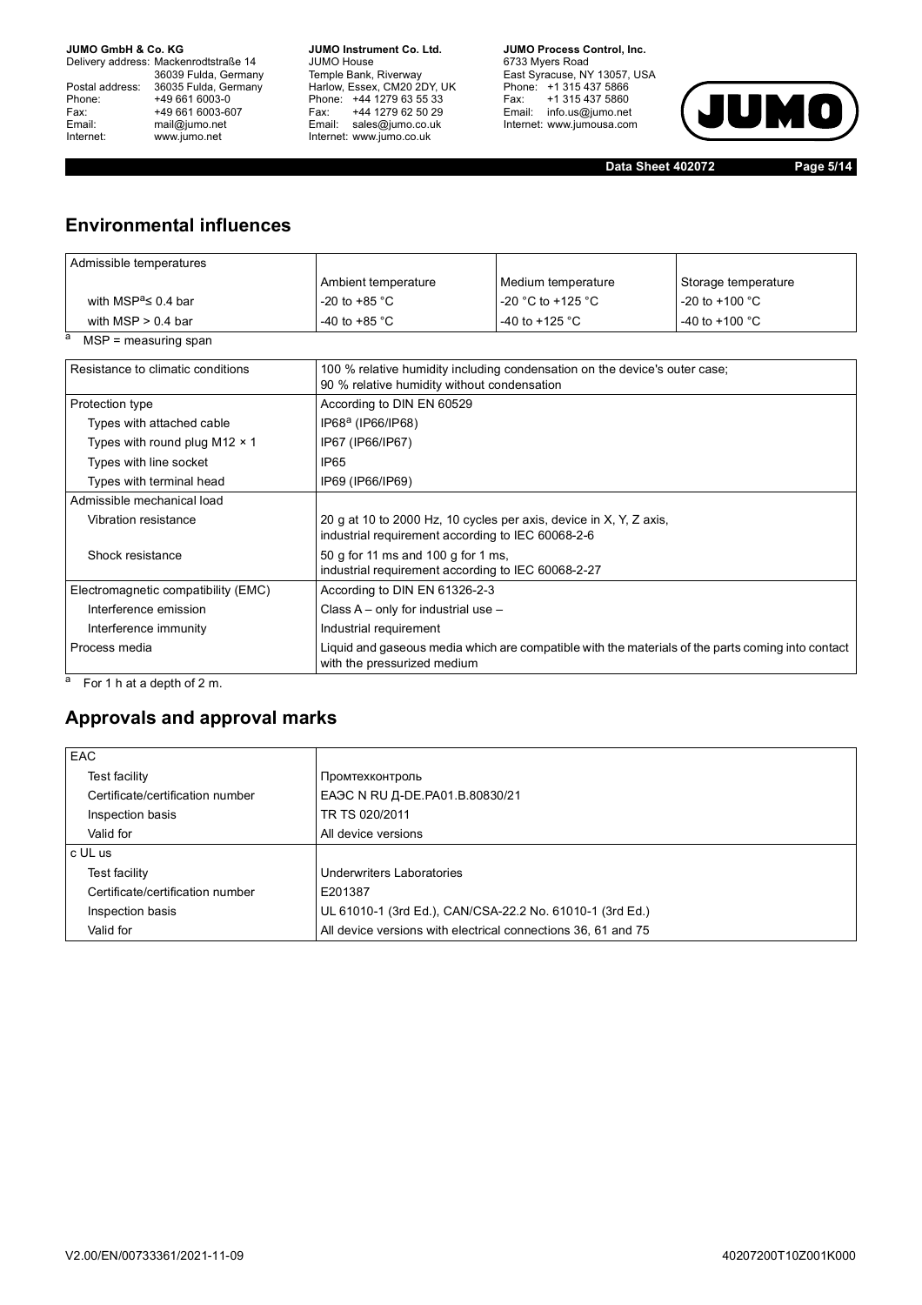Delivery address: Mackenrodtstraße 14 36039 Fulda, Germany<br>Postal address: 36035 Fulda, Germany Phone: +49 661 6003-0<br>
Fax: +49 661 6003-6<br>
Email: mail@jumo.net +49 661 6003-607 Email: mail@jumo.net<br>Internet: www.iumo.net www.jumo.net

**JUMO Instrument Co. Ltd.** JUMO House Temple Bank, Riverway<br>Harlow, Essex, CM20 2DY, UK Phone: +44 1279 63 55 33<br>Fax: +44 1279 62 50 29 Fax: +44 1279 62 50 29<br>Email: sales@jumo.co.uk Internet: www.jumo.co.uk

**JUMO Process Control, Inc.** 6733 Myers Road East Syracuse, NY 13057, USA<br>Phone: +1 315 437 5866<br>Fax: +1 315 437 5860 Email: info.us@jumo.net Internet: www.jumousa.com



**Data Sheet 402072 Page 5/14**

## **Environmental influences**

| Admissible temperatures              |                                                                                                                         |                                                                                                   |                          |  |  |
|--------------------------------------|-------------------------------------------------------------------------------------------------------------------------|---------------------------------------------------------------------------------------------------|--------------------------|--|--|
|                                      | Ambient temperature                                                                                                     | Medium temperature                                                                                | Storage temperature      |  |  |
| with MSP <sup>a</sup> $\leq$ 0.4 bar | -20 to +85 $^{\circ}$ C                                                                                                 | $-20$ °C to $+125$ °C                                                                             | -20 to +100 $^{\circ}$ C |  |  |
| with $MSP > 0.4$ bar                 | -40 to +85 $^{\circ}$ C                                                                                                 | -40 to +125 $^{\circ}$ C                                                                          | -40 to +100 $^{\circ}$ C |  |  |
| $MSP = measuring span$               |                                                                                                                         |                                                                                                   |                          |  |  |
| Resistance to climatic conditions    | 90 % relative humidity without condensation                                                                             | 100 % relative humidity including condensation on the device's outer case;                        |                          |  |  |
| Protection type                      | According to DIN EN 60529                                                                                               |                                                                                                   |                          |  |  |
| Types with attached cable            | IP68 <sup>a</sup> (IP66/IP68)                                                                                           |                                                                                                   |                          |  |  |
| Types with round plug M12 $\times$ 1 | IP67 (IP66/IP67)                                                                                                        |                                                                                                   |                          |  |  |
| Types with line socket               | IP <sub>65</sub>                                                                                                        |                                                                                                   |                          |  |  |
| Types with terminal head             | IP69 (IP66/IP69)                                                                                                        |                                                                                                   |                          |  |  |
| Admissible mechanical load           |                                                                                                                         |                                                                                                   |                          |  |  |
| Vibration resistance                 | 20 g at 10 to 2000 Hz, 10 cycles per axis, device in X, Y, Z axis,<br>industrial requirement according to IEC 60068-2-6 |                                                                                                   |                          |  |  |
| Shock resistance                     | 50 g for 11 ms and 100 g for 1 ms,<br>industrial requirement according to IEC 60068-2-27                                |                                                                                                   |                          |  |  |
| Electromagnetic compatibility (EMC)  | According to DIN EN 61326-2-3                                                                                           |                                                                                                   |                          |  |  |
| Interference emission                | Class $A - only$ for industrial use $-$                                                                                 |                                                                                                   |                          |  |  |
| Interference immunity                | Industrial requirement                                                                                                  |                                                                                                   |                          |  |  |
| Process media                        | with the pressurized medium                                                                                             | Liquid and gaseous media which are compatible with the materials of the parts coming into contact |                          |  |  |

 $a$  For 1 h at a depth of 2 m.

### **Approvals and approval marks**

| EAC                              |                                                               |
|----------------------------------|---------------------------------------------------------------|
| Test facility                    | Промтехконтроль                                               |
| Certificate/certification number | EAЭC N RU Д-DE. PA01.B.80830/21                               |
| Inspection basis                 | TR TS 020/2011                                                |
| Valid for                        | All device versions                                           |
| c UL us                          |                                                               |
| Test facility                    | Underwriters Laboratories                                     |
| Certificate/certification number | E201387                                                       |
| Inspection basis                 | UL 61010-1 (3rd Ed.), CAN/CSA-22.2 No. 61010-1 (3rd Ed.)      |
| Valid for                        | All device versions with electrical connections 36, 61 and 75 |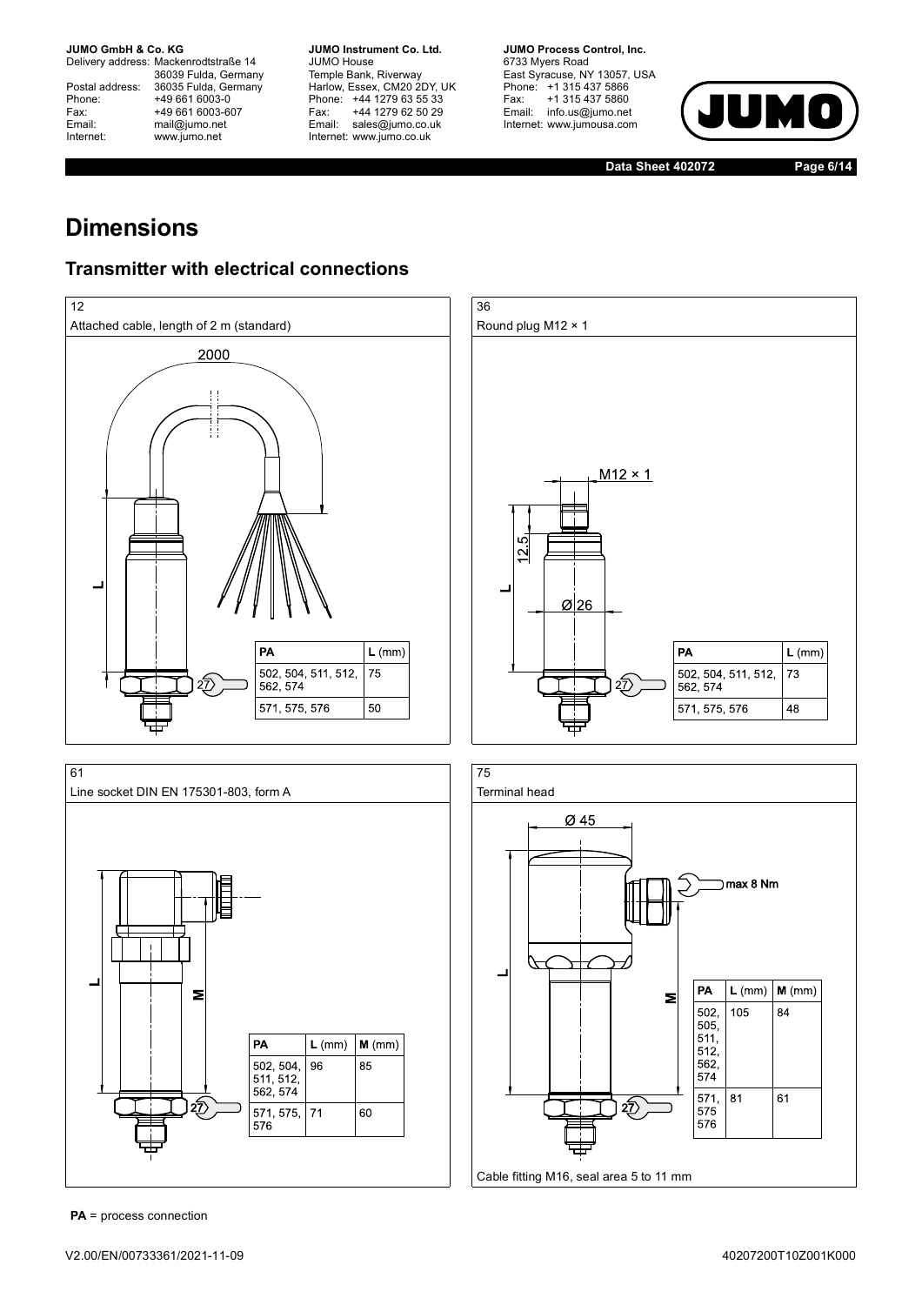Delivery address: Mackenrodtstraße 14 36039 Fulda, Germany<br>Postal address: 36035 Fulda, Germany Phone: +49 661 6003-0<br>
Fax: +49 661 6003-6<br>
Email: mail@jumo.net +49 661 6003-607 mail@jumo.net Internet: www.jumo.net

**JUMO Instrument Co. Ltd.** JUMO House Temple Bank, Riverway<br>Harlow, Essex, CM20 2DY, UK Phone: +44 1279 63 55 33<br>Fax: +44 1279 62 50 29 +44 1279 62 50 29 Email: sales@jumo.co.uk Internet: www.jumo.co.uk

**JUMO Process Control, Inc.** 6733 Myers Road East Syracuse, NY 13057, USA Phone: +1 315 437 5866<br>Fax: +1 315 437 5860 Email: info.us@jumo.net Internet: www.jumousa.com



**Data Sheet 402072 Page 6/14**

# **Dimensions**

## **Transmitter with electrical connections**



Cable fitting M16, seal area 5 to 11 mm

**PA** = process connection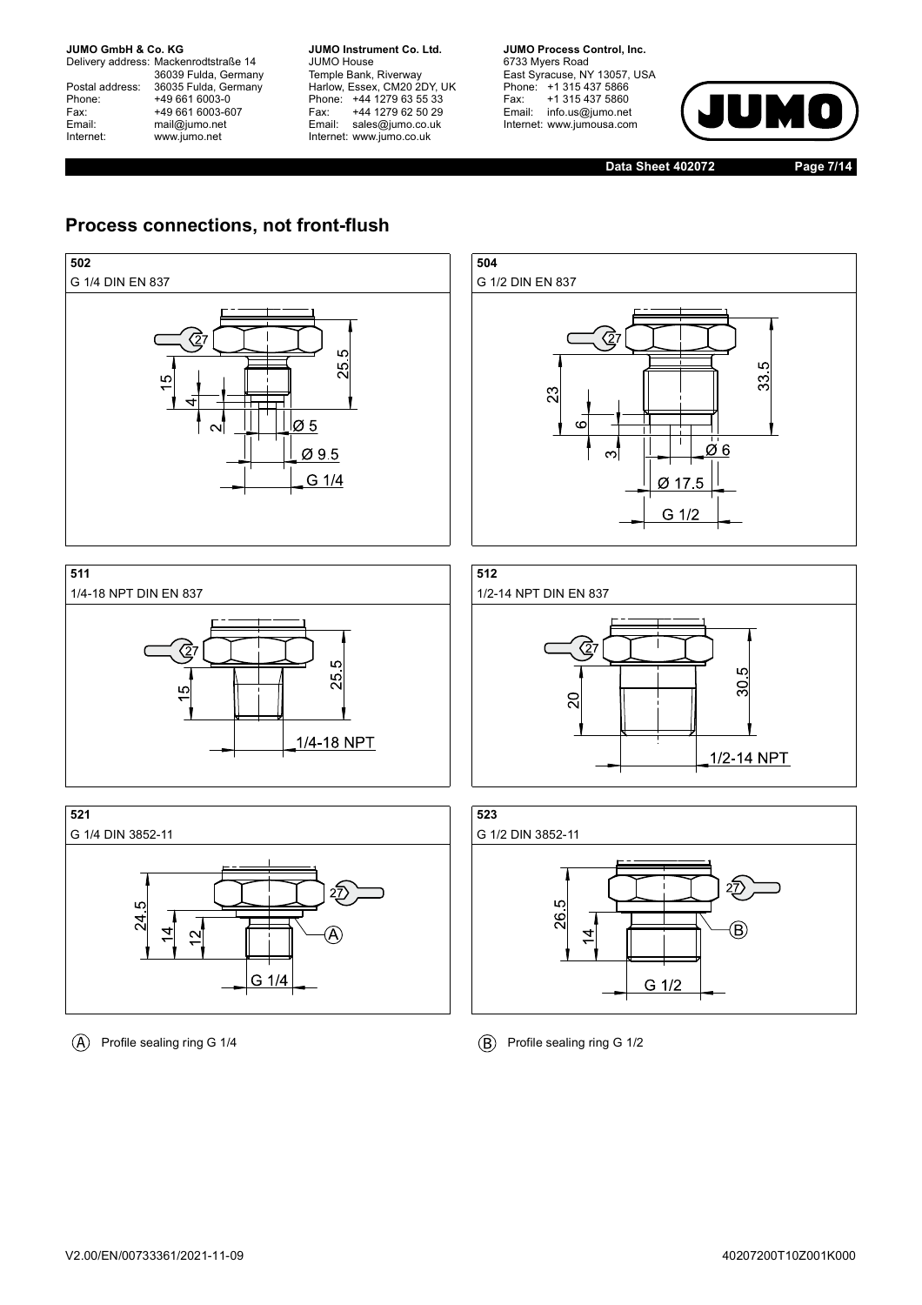Delivery address: Mackenrodtstraße 14 36039 Fulda, Germany<br>Postal address: 36035 Fulda, Germany Phone: +49 661 6003-0<br>
Fax: +49 661 6003-6<br>
Email: mail@jumo.net +49 661 6003-607 mail@jumo.net Internet: www.jumo.net

**JUMO Instrument Co. Ltd.** JUMO House Temple Bank, Riverway<br>Harlow, Essex, CM20 2DY, UK Phone: +44 1279 63 55 33<br>Fax: +44 1279 62 50 29 +44 1279 62 50 29 Email: sales@jumo.co.uk Internet: www.jumo.co.uk

**JUMO Process Control, Inc.** 6733 Myers Road East Syracuse, NY 13057, USA Phone: +1 315 437 5866<br>Fax: +1 315 437 5860 Email: info.us@jumo.net Internet: www.jumousa.com



**Data Sheet 402072 Page 7/14**

## **Process connections, not front-flush**



 $\overline{A}$  Profile sealing ring G 1/4  $\overline{B}$  Profile sealing ring G 1/2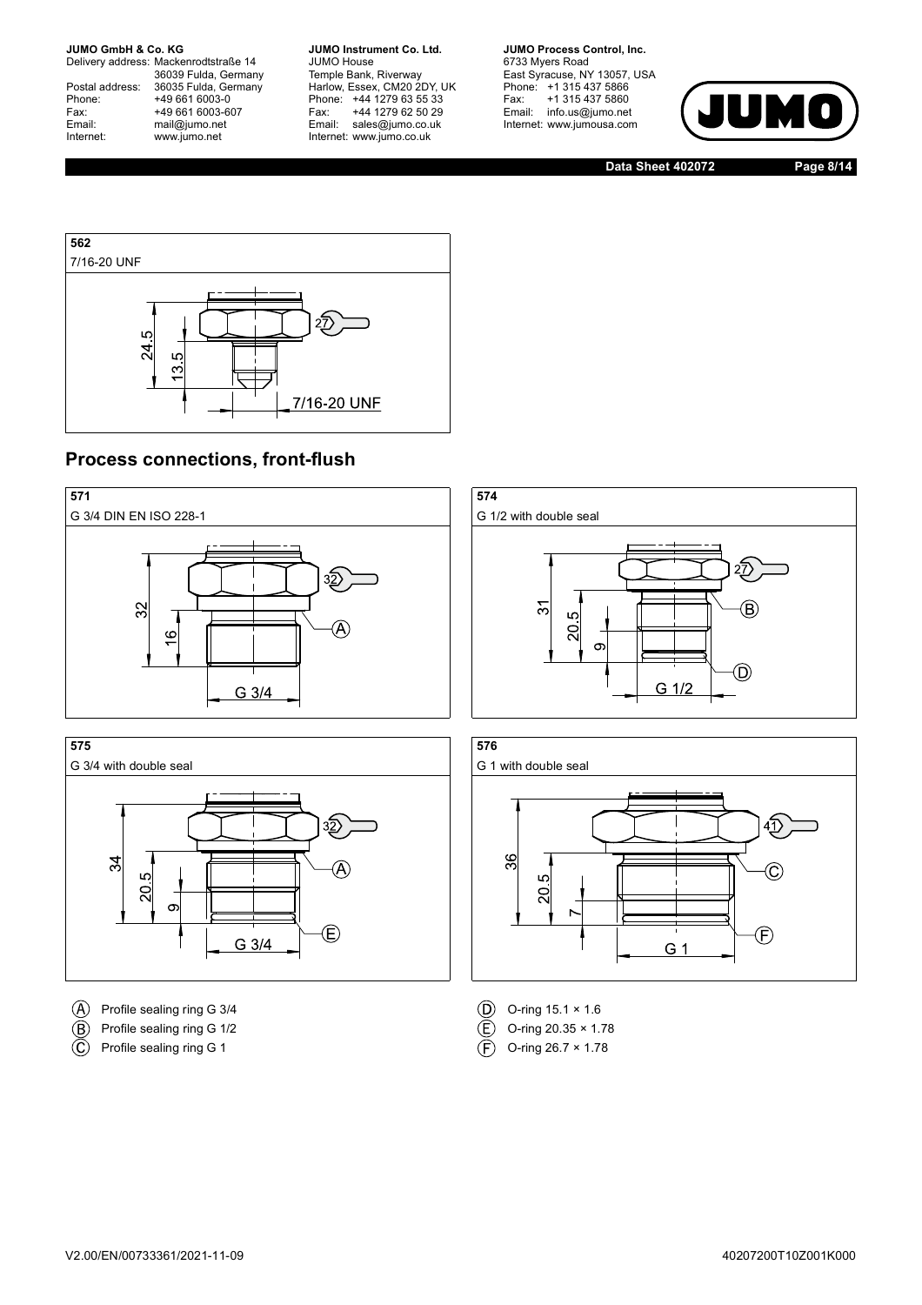Delivery address: Mackenrodtstraße 14 36039 Fulda, Germany<br>Postal address: 36035 Fulda, Germany Phone: +49 661 6003-0<br>
Fax: +49 661 6003-6<br>
Email: mail@jumo.net +49 661 6003-607 mail@jumo.net Internet: www.jumo.net

**JUMO Instrument Co. Ltd.** JUMO House Temple Bank, Riverway<br>Harlow, Essex, CM20 2DY, UK Phone: +44 1279 63 55 33<br>Fax: +44 1279 62 50 29 +44 1279 62 50 29 Email: sales@jumo.co.uk Internet: www.jumo.co.uk

**JUMO Process Control, Inc.** 6733 Myers Road East Syracuse, NY 13057, USA Phone: +1 315 437 5866<br>Fax: +1 315 437 5860 Email: info.us@jumo.net Internet: www.jumousa.com



**Data Sheet 402072 Page 8/14**



### **Process connections, front-flush**





- $\overline{A}$  Profile sealing ring G 3/4  $\overline{D}$  O-ring 15.1 × 1.6
- $\overline{E}$  Profile sealing ring G 1/2 C o-ring 20.35 × 1.78
- $\overline{\mathbb{C}}$ Profile sealing ring G 1  $\overline{F}$  O-ring 26.7 × 1.78



- 
- 
-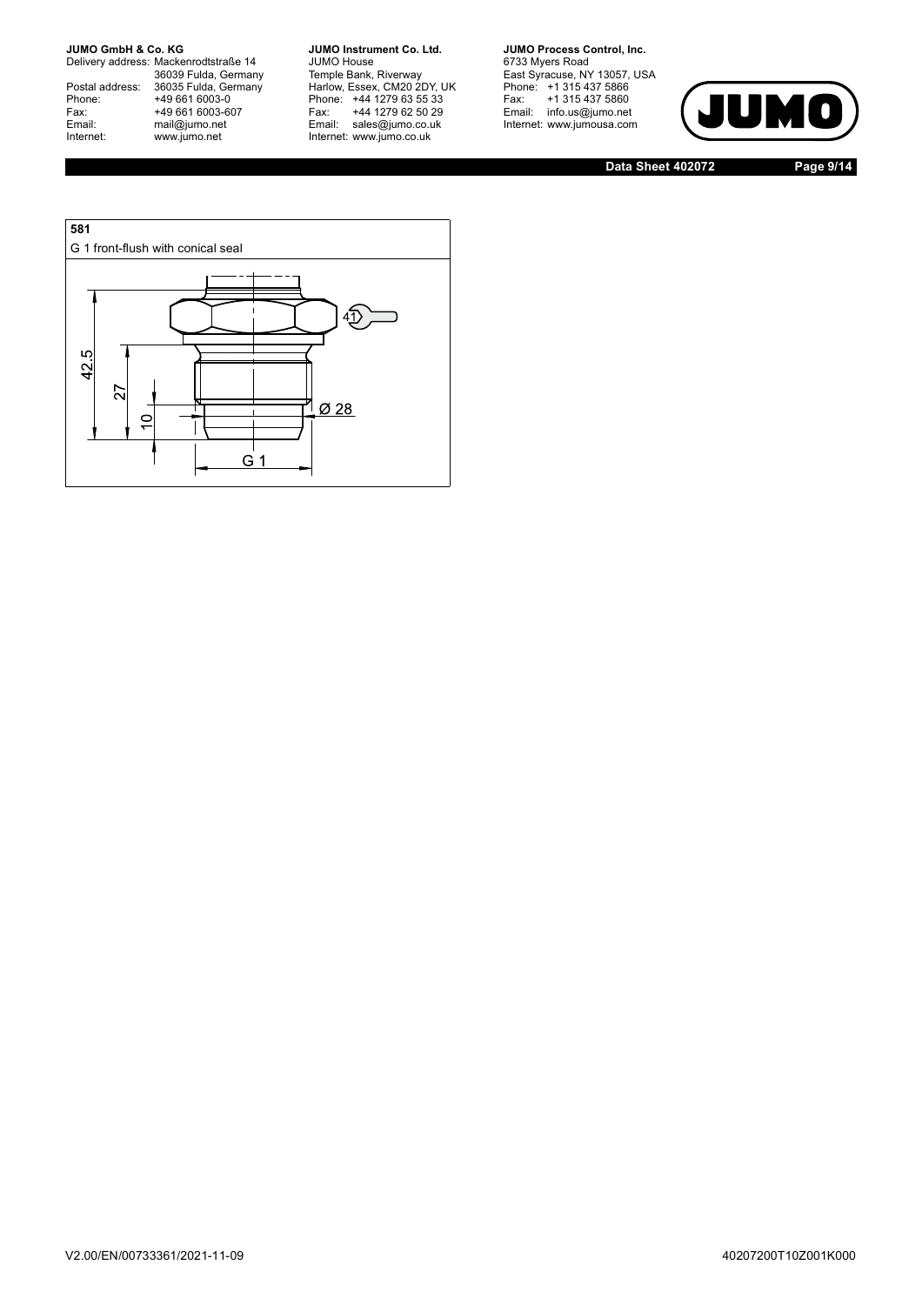Delivery address: Mackenrodtstraße 14 36039 Fulda, Germany<br>Postal address: 36035 Fulda, Germany Phone: +49 661 6003-0<br>
Fax: +49 661 6003-6<br>
Email: mail@jumo.net +49 661 6003-607 Email: mail@jumo.net<br>Internet: www.iumo.net www.jumo.net

**JUMO Instrument Co. Ltd.** JUMO House Temple Bank, Riverway<br>Harlow, Essex, CM20 2DY, UK<br>Phone: +44 1279 63 55 33 Fax: +44 1279 62 50 29<br>Email: sales@jumo.co.uk Internet: www.jumo.co.uk

**JUMO Process Control, Inc.** 6733 Myers Road East Syracuse, NY 13057, USA<br>Phone: +1 315 437 5866<br>Fax: +1 315 437 5860 Email: info.us@jumo.net Internet: www.jumousa.com



**Data Sheet 402072 Page 9/14**

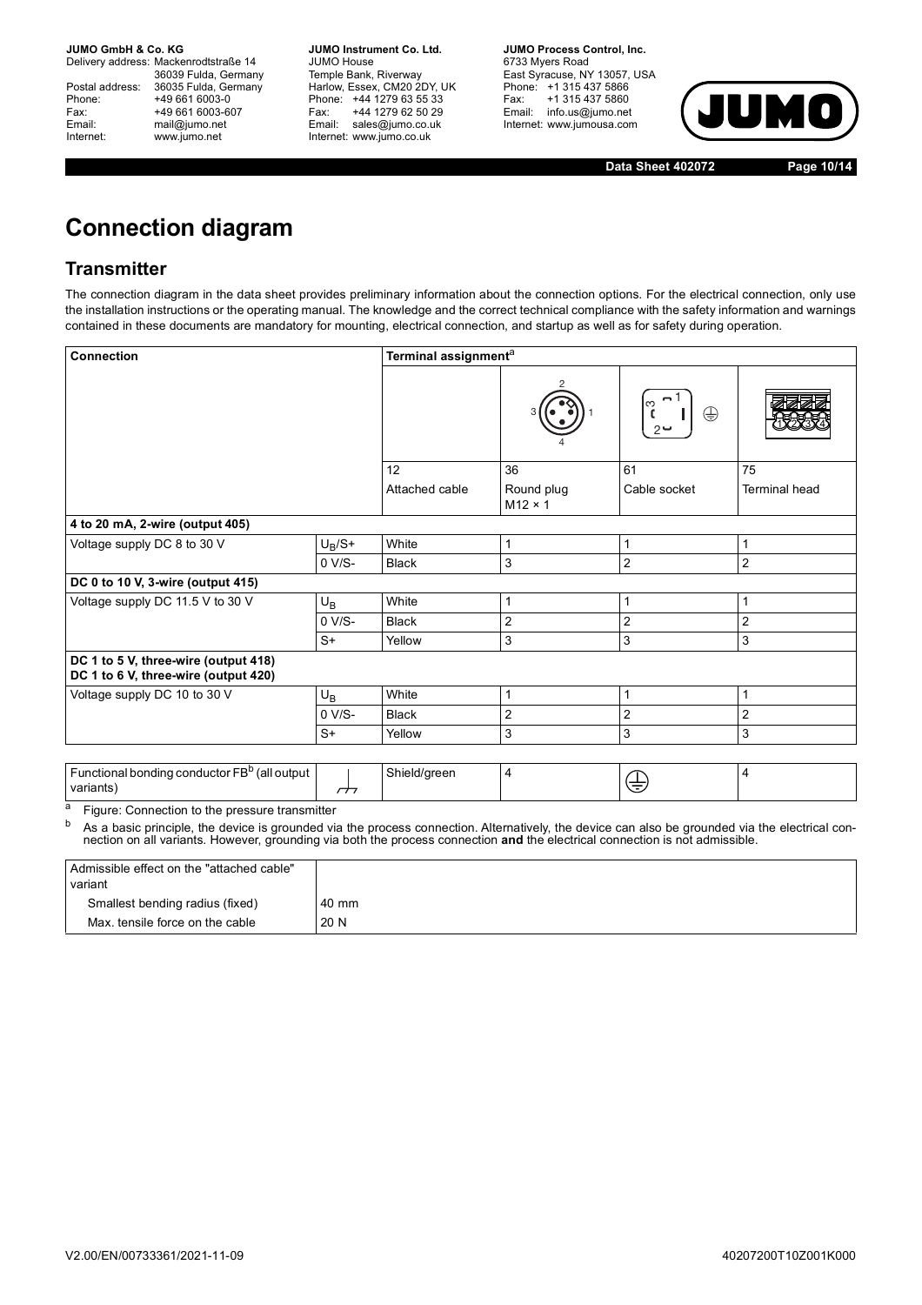Delivery address: Mackenrodtstraße 14 36039 Fulda, Germany Postal address: 36035 Fulda, Germany<br>Phone: +49 661 6003-0 Phone: +49 661 6003-0<br>
Fax: +49 661 6003-6<br>
Email: mail@jumo.net +49 661 6003-607 mail@jumo.net Internet: www.jumo.net

**JUMO Instrument Co. Ltd.** JUMO House Temple Bank, Riverway<br>Harlow, Essex, CM20 2DY, UK Phone: +44 1279 63 55 33<br>Fax: +44 1279 62 50 29 +44 1279 62 50 29 Email: sales@jumo.co.uk Internet: www.jumo.co.uk

**JUMO Process Control, Inc.** 6733 Myers Road East Syracuse, NY 13057, USA Phone: +1 315 437 5866<br>Fax: +1 315 437 5860 Email: info.us@jumo.net Internet: www.jumousa.com



**Data Sheet 402072 Page 10/14**

# **Connection diagram**

### **Transmitter**

The connection diagram in the data sheet provides preliminary information about the connection options. For the electrical connection, only use the installation instructions or the operating manual. The knowledge and the correct technical compliance with the safety information and warnings contained in these documents are mandatory for mounting, electrical connection, and startup as well as for safety during operation.

| <b>Connection</b>                                                                                                                                                                                           |                | Terminal assignment <sup>a</sup> |                              |                        |                      |
|-------------------------------------------------------------------------------------------------------------------------------------------------------------------------------------------------------------|----------------|----------------------------------|------------------------------|------------------------|----------------------|
|                                                                                                                                                                                                             |                |                                  |                              | က<br>$\oplus$<br>$2 -$ |                      |
|                                                                                                                                                                                                             |                | 12                               | 36                           | 61                     | 75                   |
|                                                                                                                                                                                                             |                | Attached cable                   | Round plug<br>$M12 \times 1$ | Cable socket           | <b>Terminal head</b> |
| 4 to 20 mA, 2-wire (output 405)                                                                                                                                                                             |                |                                  |                              |                        |                      |
| Voltage supply DC 8 to 30 V                                                                                                                                                                                 | $U_B/S+$       | White                            | 1                            | 1                      | 1                    |
|                                                                                                                                                                                                             | $0 V/S-$       | <b>Black</b>                     | 3                            | $\overline{2}$         | $\overline{2}$       |
| DC 0 to 10 V, 3-wire (output 415)                                                                                                                                                                           |                |                                  |                              |                        |                      |
| Voltage supply DC 11.5 V to 30 V                                                                                                                                                                            | $U_B$          | White                            | 1                            | 1                      | 1                    |
|                                                                                                                                                                                                             | $0 V/S-$       | <b>Black</b>                     | 2                            | $\overline{2}$         | $\overline{2}$       |
|                                                                                                                                                                                                             | $S+$           | Yellow                           | 3                            | 3                      | 3                    |
| DC 1 to 5 V, three-wire (output 418)<br>DC 1 to 6 V, three-wire (output 420)                                                                                                                                |                |                                  |                              |                        |                      |
| Voltage supply DC 10 to 30 V                                                                                                                                                                                | $U_B$          | White                            | 1                            | 1                      | 1                    |
|                                                                                                                                                                                                             | $0 V/S-$       | <b>Black</b>                     | 2                            | $\overline{2}$         | 2                    |
|                                                                                                                                                                                                             | $S+$           | Yellow                           | 3                            | 3                      | 3                    |
| Functional bonding conductor FB <sup>b</sup> (all output<br>variants)                                                                                                                                       | $\overline{a}$ | Shield/green                     | 4                            | ⊕                      | 4                    |
| а<br>Figure: Connection to the pressure transmitter<br>b<br>As a basic principle, the device is grounded via the process connection. Alternatively, the device can also be grounded via the electrical con- |                |                                  |                              |                        |                      |

nection on all variants. However, grounding via both the process connection **and** the electrical connection is not admissible.

| Admissible effect on the "attached cable"<br>variant |       |
|------------------------------------------------------|-------|
| Smallest bending radius (fixed)                      | 40 mm |
| Max, tensile force on the cable                      | 20 N  |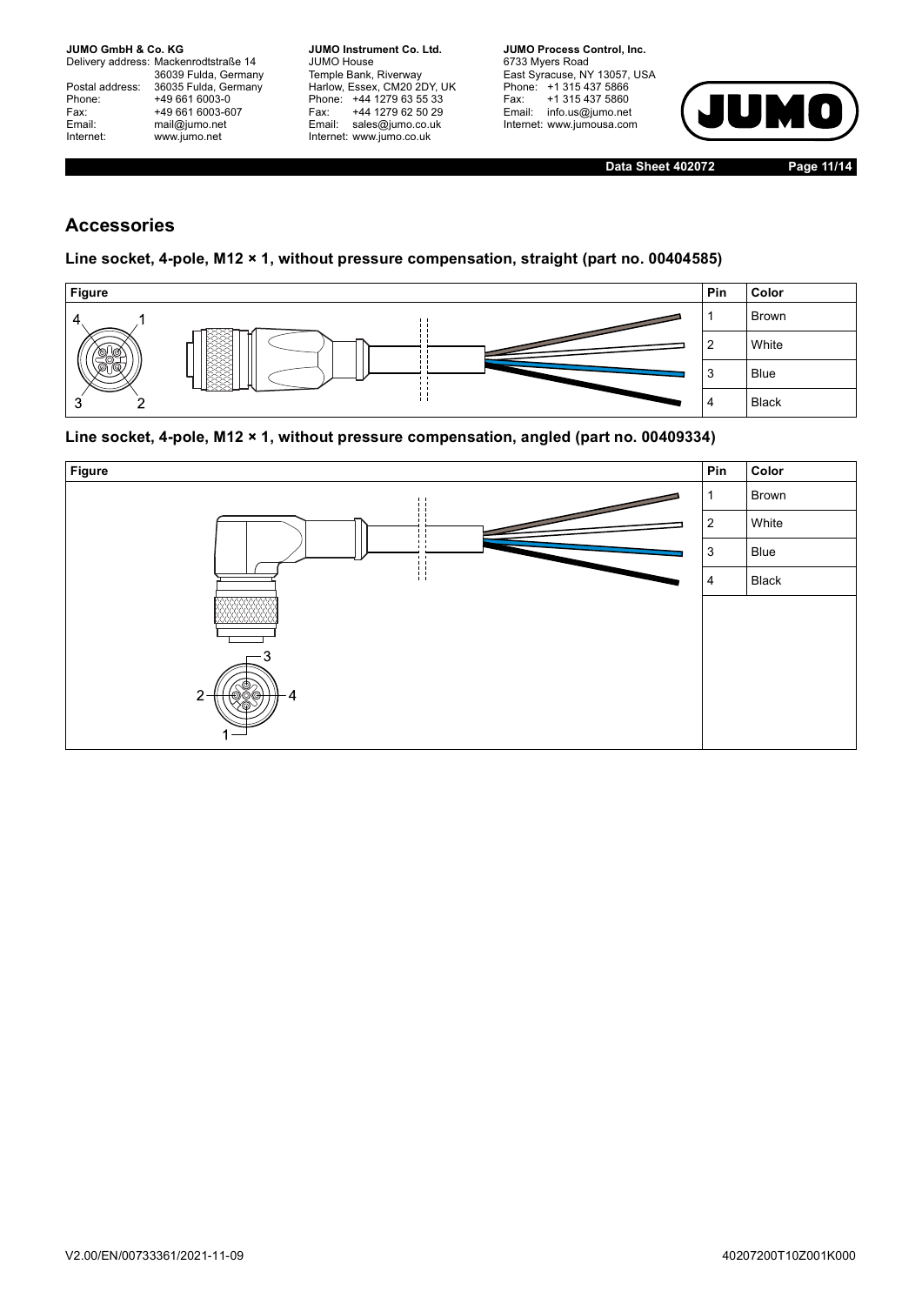Delivery address: Mackenrodtstraße 14 36039 Fulda, Germany<br>Postal address: 36035 Fulda, Germany Phone: +49 661 6003-0<br>
Fax: +49 661 6003-6<br>
Email: mail@jumo.net +49 661 6003-607 mail@jumo.net Internet: www.jumo.net

**JUMO Instrument Co. Ltd.** JUMO House Temple Bank, Riverway<br>Harlow, Essex, CM20 2DY, UK Phone: +44 1279 63 55 33<br>Fax: +44 1279 62 50 29 +44 1279 62 50 29 Email: sales@jumo.co.uk Internet: www.jumo.co.uk

**JUMO Process Control, Inc.** 6733 Myers Road East Syracuse, NY 13057, USA Phone: +1 315 437 5866<br>Fax: +1 315 437 5860 Email: info.us@jumo.net Internet: www.jumousa.com



**Data Sheet 402072 Page 11/14**

### **Accessories**

#### **Line socket, 4-pole, M12 × 1, without pressure compensation, straight (part no. 00404585)**



#### **Line socket, 4-pole, M12 × 1, without pressure compensation, angled (part no. 00409334)**

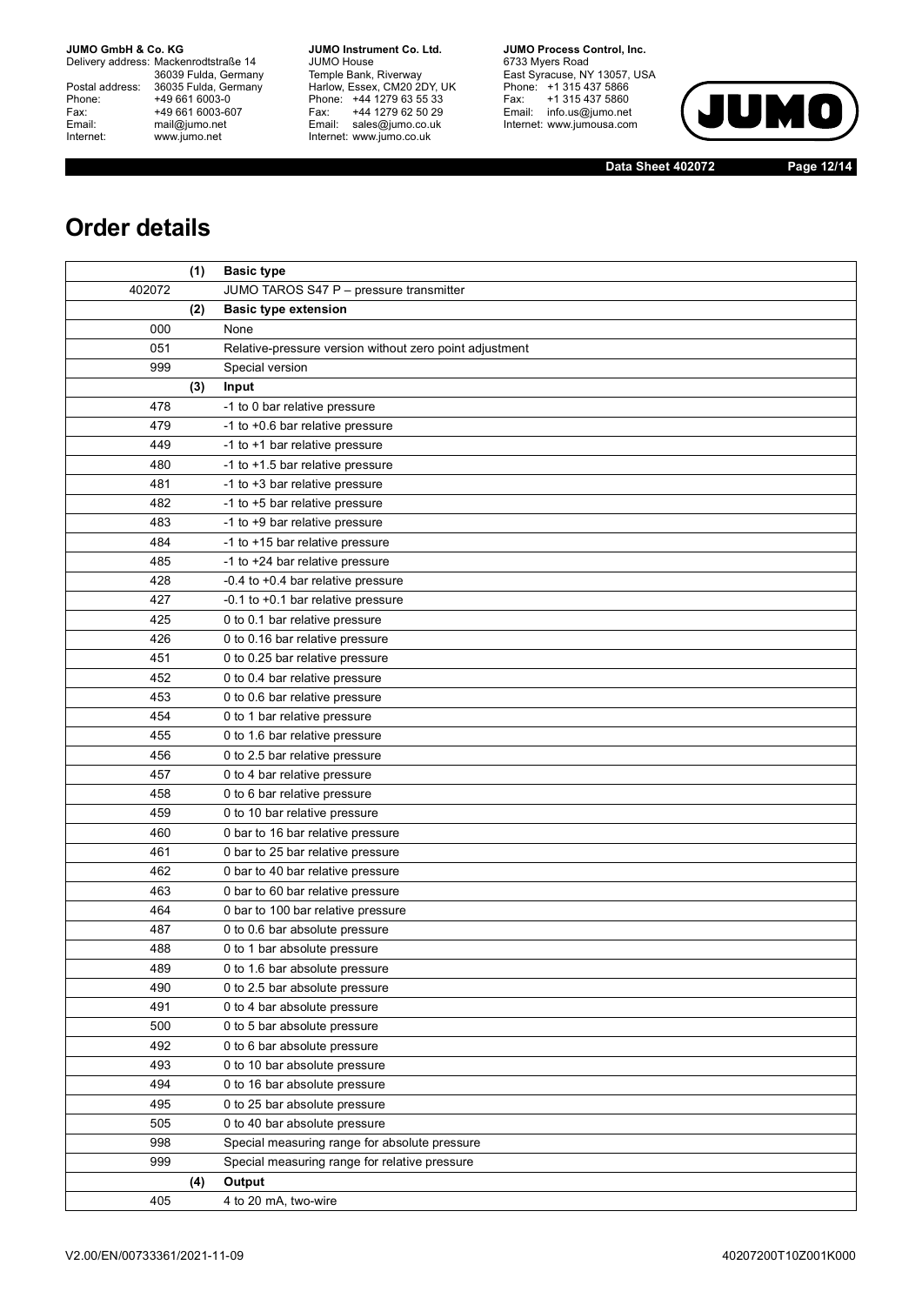Delivery address: Mackenrodtstraße 14 36039 Fulda, Germany<br>Postal address: 36035 Fulda, Germany Phone: +49 661 6003-0<br>
Fax: +49 661 6003-6<br>
Email: mail@jumo.net +49 661 6003-607 Email: mail@jumo.net<br>Internet: www.iumo.net www.jumo.net

**JUMO Instrument Co. Ltd.** JUMO House Temple Bank, Riverway<br>Harlow, Essex, CM20 2DY, UK<br>Phone: +44 1279 63 55 33 Fax: +44 1279 62 50 29 Fax. THE IZID DE OU LU<br>Email: sales@jumo.co.uk Internet: www.jumo.co.uk

**JUMO Process Control, Inc.** 6733 Myers Road East Syracuse, NY 13057, USA<br>Phone: +1 315 437 5866<br>Fax: +1 315 437 5860 Email: info.us@jumo.net Internet: www.jumousa.com



**Data Sheet 402072 Page 12/14**

# **Order details**

|        | (1) | <b>Basic type</b>                                       |
|--------|-----|---------------------------------------------------------|
| 402072 |     | JUMO TAROS S47 P - pressure transmitter                 |
|        | (2) | <b>Basic type extension</b>                             |
| 000    |     | None                                                    |
| 051    |     | Relative-pressure version without zero point adjustment |
| 999    |     | Special version                                         |
|        | (3) | Input                                                   |
| 478    |     | -1 to 0 bar relative pressure                           |
| 479    |     | -1 to +0.6 bar relative pressure                        |
| 449    |     | -1 to +1 bar relative pressure                          |
| 480    |     | -1 to +1.5 bar relative pressure                        |
| 481    |     | -1 to +3 bar relative pressure                          |
| 482    |     | -1 to +5 bar relative pressure                          |
| 483    |     | -1 to +9 bar relative pressure                          |
| 484    |     | -1 to +15 bar relative pressure                         |
| 485    |     | -1 to +24 bar relative pressure                         |
| 428    |     | -0.4 to +0.4 bar relative pressure                      |
| 427    |     | -0.1 to +0.1 bar relative pressure                      |
| 425    |     | 0 to 0.1 bar relative pressure                          |
| 426    |     | 0 to 0.16 bar relative pressure                         |
| 451    |     | 0 to 0.25 bar relative pressure                         |
| 452    |     | 0 to 0.4 bar relative pressure                          |
| 453    |     | 0 to 0.6 bar relative pressure                          |
| 454    |     | 0 to 1 bar relative pressure                            |
| 455    |     | 0 to 1.6 bar relative pressure                          |
| 456    |     | 0 to 2.5 bar relative pressure                          |
| 457    |     | 0 to 4 bar relative pressure                            |
| 458    |     | 0 to 6 bar relative pressure                            |
| 459    |     | 0 to 10 bar relative pressure                           |
| 460    |     | 0 bar to 16 bar relative pressure                       |
| 461    |     | 0 bar to 25 bar relative pressure                       |
| 462    |     | 0 bar to 40 bar relative pressure                       |
| 463    |     | 0 bar to 60 bar relative pressure                       |
| 464    |     | 0 bar to 100 bar relative pressure                      |
| 487    |     | 0 to 0.6 bar absolute pressure                          |
| 488    |     | 0 to 1 bar absolute pressure                            |
| 489    |     | 0 to 1.6 bar absolute pressure                          |
| 490    |     | 0 to 2.5 bar absolute pressure                          |
| 491    |     | 0 to 4 bar absolute pressure                            |
| 500    |     | 0 to 5 bar absolute pressure                            |
| 492    |     | 0 to 6 bar absolute pressure                            |
| 493    |     | 0 to 10 bar absolute pressure                           |
| 494    |     | 0 to 16 bar absolute pressure                           |
| 495    |     | 0 to 25 bar absolute pressure                           |
| 505    |     | 0 to 40 bar absolute pressure                           |
| 998    |     | Special measuring range for absolute pressure           |
| 999    |     | Special measuring range for relative pressure           |
|        | (4) | Output                                                  |
| 405    |     | 4 to 20 mA, two-wire                                    |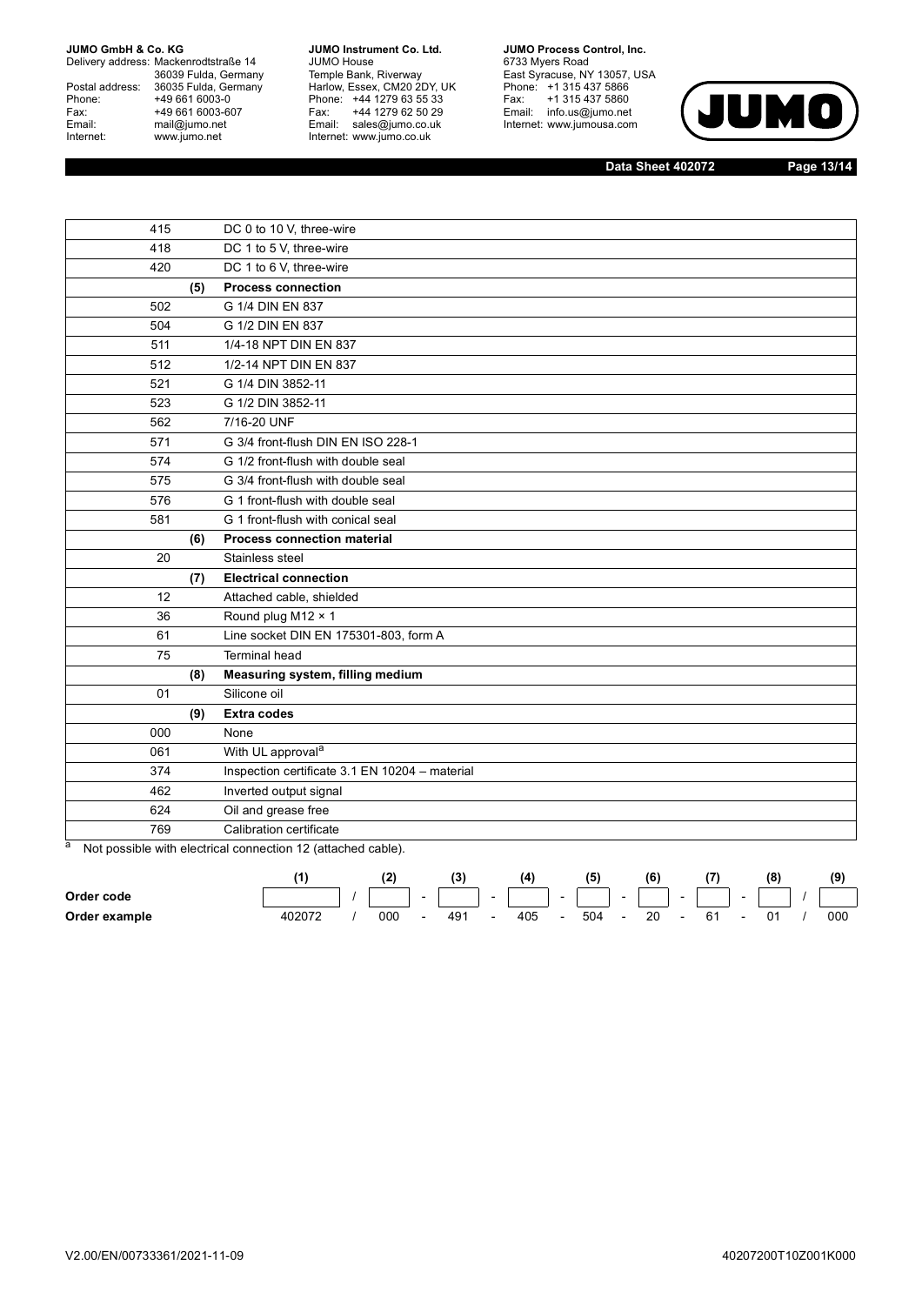Delivery address: Mackenrodtstraße 14 36039 Fulda, Germany<br>Postal address: 36035 Fulda, Germany Phone: +49 661 6003-0<br>
Fax: +49 661 6003-6<br>
Email: mail@jumo.net +49 661 6003-607 Email: mail@jumo.net<br>Internet: www.iumo.net www.jumo.net

**JUMO Instrument Co. Ltd.** JUMO House Temple Bank, Riverway<br>Harlow, Essex, CM20 2DY, UK<br>Phone: +44 1279 63 55 33 Fax: +44 1279 62 50 29<br>Email: sales@jumo.co.uk Internet: www.jumo.co.uk

**JUMO Process Control, Inc.** 6733 Myers Road East Syracuse, NY 13057, USA<br>Phone: +1 315 437 5866<br>Fax: +1 315 437 5860 Email: info.us@jumo.net Internet: www.jumousa.com



**Data Sheet 402072 Page 13/14**

| 415 |     | DC 0 to 10 V, three-wire                       |
|-----|-----|------------------------------------------------|
| 418 |     | DC 1 to 5 V, three-wire                        |
| 420 |     | DC 1 to 6 V, three-wire                        |
|     | (5) | <b>Process connection</b>                      |
| 502 |     | G 1/4 DIN EN 837                               |
| 504 |     | G 1/2 DIN EN 837                               |
| 511 |     | 1/4-18 NPT DIN EN 837                          |
| 512 |     | 1/2-14 NPT DIN EN 837                          |
| 521 |     | G 1/4 DIN 3852-11                              |
| 523 |     | G 1/2 DIN 3852-11                              |
| 562 |     | 7/16-20 UNF                                    |
| 571 |     | G 3/4 front-flush DIN EN ISO 228-1             |
| 574 |     | G 1/2 front-flush with double seal             |
| 575 |     | G 3/4 front-flush with double seal             |
| 576 |     | G 1 front-flush with double seal               |
| 581 |     | G 1 front-flush with conical seal              |
|     | (6) | <b>Process connection material</b>             |
| 20  |     | Stainless steel                                |
|     | (7) | <b>Electrical connection</b>                   |
| 12  |     | Attached cable, shielded                       |
| 36  |     | Round plug M12 × 1                             |
| 61  |     | Line socket DIN EN 175301-803, form A          |
| 75  |     | <b>Terminal head</b>                           |
|     | (8) | Measuring system, filling medium               |
| 01  |     | Silicone oil                                   |
|     | (9) | <b>Extra codes</b>                             |
| 000 |     | None                                           |
| 061 |     | With UL approval <sup>a</sup>                  |
| 374 |     | Inspection certificate 3.1 EN 10204 - material |
| 462 |     | Inverted output signal                         |
| 624 |     | Oil and grease free                            |
| 769 |     | Calibration certificate                        |

a Not possible with electrical connection 12 (attached cable).

|               |  |     |  |                          |     |     | (6) |    |  |  |
|---------------|--|-----|--|--------------------------|-----|-----|-----|----|--|--|
| Order code    |  |     |  |                          |     |     |     |    |  |  |
| Order example |  | 000 |  | $\overline{\phantom{0}}$ | 405 | 504 | 20  | 61 |  |  |